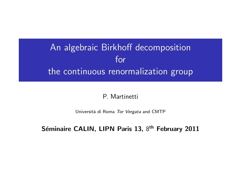# An algebraic Birkhoff decomposition for the continuous renormalization group

#### P. Martinetti

Università di Roma Tor Vergata and CMTP

#### Séminaire CALIN, LIPN Paris 13, 8<sup>th</sup> February 2011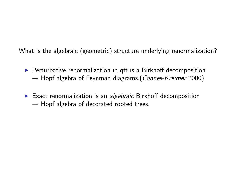What is the algebraic (geometric) structure underlying renormalization?

- $\triangleright$  Perturbative renormalization in qft is a Birkhoff decomposition  $\rightarrow$  Hopf algebra of Feynman diagrams. (Connes-Kreimer 2000)
- Exact renormalization is an algebraic Birkhoff decomposition  $\rightarrow$  Hopf algebra of decorated rooted trees.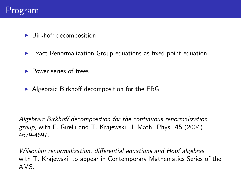#### Program

- $\blacktriangleright$  Birkhoff decomposition
- $\triangleright$  Exact Renormalization Group equations as fixed point equation
- **Power series of trees**
- $\triangleright$  Algebraic Birkhoff decomposition for the ERG

Algebraic Birkhoff decomposition for the continuous renormalization group, with F. Girelli and T. Krajewski, J. Math. Phys. 45 (2004) 4679-4697.

Wilsonian renormalization, differential equations and Hopf algebras, with T. Krajewski, to appear in Contemporary Mathematics Series of the AMS.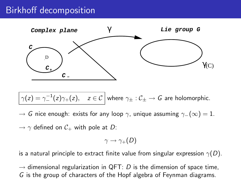## Birkhoff decomposition



$$
\gamma(z)=\gamma_-^{-1}(z)\gamma_+(z), \quad z\in\mathcal{C} \text{ where } \gamma_\pm:\mathcal{C}_\pm\to G \text{ are holomorphic.}
$$

 $\rightarrow$  G nice enough: exists for any loop  $\gamma$ , unique assuming  $\gamma_-(\infty) = 1$ .

 $\rightarrow \gamma$  defined on  $C_+$  with pole at D:

$$
\gamma \to \gamma_+(D)
$$

is a natural principle to extract finite value from singular expression  $\gamma(D)$ .

 $\rightarrow$  dimensional regularization in QFT: D is the dimension of space time, G is the group of characters of the Hopf algebra of Feynman diagrams.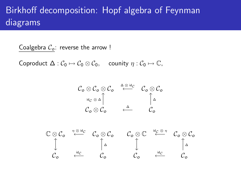## Birkhoff decomposition: Hopf algebra of Feynman diagrams

Coalgebra  $C_0$ : reverse the arrow !

Coproduct  $\Delta: \mathcal{C}_0 \mapsto \mathcal{C}_0 \otimes \mathcal{C}_0$ , counity  $\eta: \mathcal{C}_0 \mapsto \mathbb{C}$ ,

$$
\begin{array}{ccc}\nC_{\mathbf{o}} \otimes C_{\mathbf{o}} \otimes C_{\mathbf{o}} & \xrightarrow{\Delta \otimes \text{id}_{\mathcal{C}}}& C_{\mathbf{o}} \otimes C_{\mathbf{o}} \\
\vdots & \vdots & \vdots & \vdots \\
C_{\mathbf{o}} \otimes C_{\mathbf{o}} & \xleftarrow{\Delta} & C_{\mathbf{o}} \\
\end{array}
$$

$$
\begin{array}{ccccccc}\n\mathbb{C}\otimes\mathcal{C}_{o} & \stackrel{\eta\otimes\mathrm{id}_{\mathcal{C}}}{\longleftarrow} & \mathcal{C}_{o}\otimes\mathcal{C}_{o} & \mathcal{C}_{o}\otimes\mathbb{C} & \stackrel{\mathrm{id}_{\mathcal{C}}\otimes\eta}{\longleftarrow} & \mathcal{C}_{o}\otimes\mathcal{C}_{o} \\
\uparrow & & \uparrow_{\Delta} & & \downarrow & & \uparrow_{\Delta} \\
\mathcal{C}_{o} & \stackrel{\mathrm{id}_{\mathcal{C}}}{\longleftarrow} & \mathcal{C}_{o} & \mathcal{C}_{o} & \stackrel{\mathrm{id}_{\mathcal{C}}}{\longleftarrow} & \mathcal{C}_{o}\n\end{array}
$$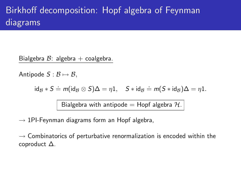# Birkhoff decomposition: Hopf algebra of Feynman diagrams

Bialgebra  $B$ : algebra + coalgebra.

Antipode  $S : \mathcal{B} \mapsto \mathcal{B}$ ,

$$
\mathrm{id}_{\mathcal{B}} * S \doteq m(\mathrm{id}_{\mathcal{B}} \otimes S)\Delta = \eta 1, \quad S * \mathrm{id}_{\mathcal{B}} \doteq m(S * \mathrm{id}_{\mathcal{B}})\Delta = \eta 1.
$$

Bialgebra with antipode = Hopf algebra  $H$ .

 $\rightarrow$  1PI-Feynman diagrams form an Hopf algebra,

 $\rightarrow$  Combinatorics of perturbative renormalization is encoded within the coproduct ∆.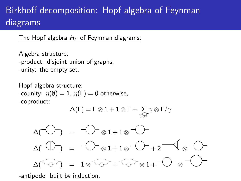# Birkhoff decomposition: Hopf algebra of Feynman diagrams

The Hopf algebra  $H_F$  of Feynman diagrams:

Algebra structure: -product: disjoint union of graphs, -unity: the empty set.

Hopf algebra structure: -counity:  $\eta(\emptyset) = 1$ ,  $\eta(\Gamma) = 0$  otherwise, -coproduct:

$$
\Delta(\Gamma) = \Gamma \otimes 1 + 1 \otimes \Gamma + \sum_{\gamma \subsetneq \Gamma} \gamma \otimes \Gamma/\gamma
$$

$$
\Delta(\neg \bigcirc \neg \bigcirc) = \neg \bigcirc \neg \bigcirc 1 + 1 \otimes \neg \bigcirc \neg \bigcirc
$$

$$
\Delta(\neg \bigcirc \neg \bigcirc) = \neg \bigcirc \neg \bigcirc 1 + 1 \otimes \neg \bigcirc \neg \bigcirc + 2 \neg \bigcirc \bigcirc \neg \bigcirc
$$

 $\widehat{\bigtriangledown}_{1}$  = 1  $\otimes \widehat{\bigtriangledown}_{+} \widehat{\bigtriangledown}_{\otimes 1} + \bigtriangledown_{\otimes}$ 

-antipode: built by induction.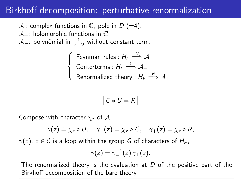### Birkhoff decomposition: perturbative renormalization

A : complex functions in  $\mathbb C$ , pole in  $D$  (=4).

 $A_{+}$ : holomorphic functions in  $\mathbb{C}$ .

 $\mathcal{A}$ \_: polynômial in  $\frac{1}{z-D}$  without constant term.

 $\sqrt{ }$ J  $\overline{\mathcal{L}}$ Feynman rules :  $H_F \stackrel{U}{\Longrightarrow} \mathcal{A}$ Conterterms :  $H_F \stackrel{C}{\Longrightarrow} A_-$ Renormalized theory :  $\mathcal{H}_\mathsf{F}\stackrel{R}{\Longrightarrow} \mathcal{A}_+$ 

$$
C * U = R
$$

Compose with character  $\chi_z$  of A,

$$
\gamma(z) \doteq \chi_z \circ U, \quad \gamma_-(z) \doteq \chi_z \circ C, \quad \gamma_+(z) \doteq \chi_z \circ R,
$$

 $\gamma(z)$ ,  $z \in \mathcal{C}$  is a loop within the group G of characters of  $H_F$ ,

$$
\gamma(z)=\gamma_-^{-1}(z)\,\gamma_+(z).
$$

The renormalized theory is the evaluation at  $D$  of the positive part of the Birkhoff decomposition of the bare theory.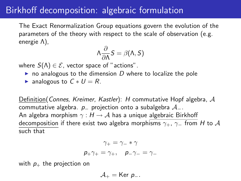### Birkhoff decomposition: algebraic formulation

The Exact Renormalization Group equations govern the evolution of the parameters of the theory with respect to the scale of observation (e.g. energie Λ),

$$
\Lambda \frac{\partial}{\partial \Lambda} S = \beta(\Lambda, S)
$$

where  $S(\Lambda) \in \mathcal{E}$ , vector space of "actions".

- $\triangleright$  no analogous to the dimension D where to localize the pole
- $\triangleright$  analogous to  $C * U = R$ .

Definition(*Connes, Kreimer, Kastler*): H commutative Hopf algebra,  $A$ commutative algebra.  $p_$  projection onto a subalgebra  $A_$ . An algebra morphism  $\gamma : H \to \mathcal{A}$  has a unique algebraic Birkhoff decomposition if there exist two algebra morphisms  $\gamma_+$ ,  $\gamma_-$  from H to A such that

$$
\gamma_+ = \gamma_- * \gamma
$$
  

$$
p_+ \gamma_+ = \gamma_+, \quad p_- \gamma_- = \gamma_-
$$

with  $p_{+}$  the projection on

$$
\mathcal{A}_+ = \text{Ker } p_-.
$$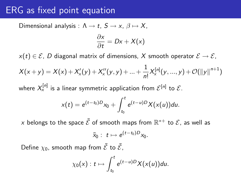#### ERG as fixed point equation

Dimensional analysis :  $\Lambda \rightarrow t$ ,  $S \rightarrow x$ ,  $\beta \mapsto X$ ,

$$
\frac{\partial x}{\partial t}=Dx+X(x)
$$

 $x(t) \in \mathcal{E}$ , D diagonal matrix of dimensions, X smooth operator  $\mathcal{E} \to \mathcal{E}$ ,

$$
X(x + y) = X(x) + X'_x(y) + X''_x(y, y) + ... + \frac{1}{n!}X_x^{[n]}(y, ..., y) + \mathcal{O}(\|y\|^{n+1})
$$

where  $X_{\mathsf{x}}^{[n]}$  is a linear symmetric application from  $\mathcal{E}^{[n]}$  to  $\mathcal{E}.$ 

$$
x(t) = e^{(t-t_0)D}x_0 + \int_{t_0}^t e^{(t-u)D}X(x(u))du.
$$

 $\times$  belongs to the space  $\tilde{\mathcal{E}}$  of smooth maps from  $\mathbb{R}^{*+}$  to  $\mathcal{E}$ , as well as

$$
\tilde{x}_0: t \mapsto e^{(t-t_0)D}x_0.
$$

Define  $\chi_0$ , smooth map from  $\tilde{\mathcal{E}}$  to  $\tilde{\mathcal{E}}$ ,

$$
\chi_0(x): t \mapsto \int_{t_0}^t e^{(t-u)D} X(x(u)) du.
$$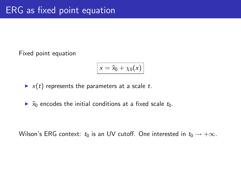Fixed point equation

$$
x = \tilde{x}_0 + \chi_0(x)
$$

 $\blacktriangleright$  x(t) represents the parameters at a scale t.

 $\triangleright$   $\tilde{x}_0$  encodes the initial conditions at a fixed scale  $t_0$ .

Wilson's ERG context:  $t_0$  is an UV cutoff. One interested in  $t_0 \rightarrow +\infty$ .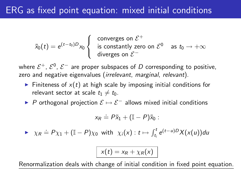### ERG as fixed point equation: mixed initial conditions

$$
\tilde{x}_0(t) = e^{(t-t_0)D} x_0 \begin{cases} \text{converges on } \mathcal{E}^+ \\ \text{is constantly zero on } \mathcal{E}^0 \text{ as } t_0 \to +\infty \\ \text{diverges on } \mathcal{E}^- \end{cases}
$$

where  $\mathcal{E}^+$ ,  $\mathcal{E}^0$ ,  $\mathcal{E}^-$  are proper subspaces of  $D$  corresponding to positive, zero and negative eigenvalues (irrelevant, marginal, relevant).

- $\triangleright$  Finiteness of  $x(t)$  at high scale by imposing initial conditions for relevant sector at scale  $t_1 \neq t_0$ .
- $\triangleright$  P orthogonal projection  $\mathcal{E} \mapsto \mathcal{E}^-$  allows mixed initial conditions

$$
x_R \doteq P\tilde{x}_1 + (\mathbb{I} - P)\tilde{x}_0 :
$$

$$
\triangleright \quad \chi_R \doteq P\chi_1 + (\mathbb{I} - P)\chi_0 \text{ with } \chi_i(x): t \mapsto \int_{t_i}^t e^{(t-u)D} X(x(u)) du
$$

$$
x(t) = x_R + \chi_R(x)
$$

Renormalization deals with change of initial condition in fixed point equation.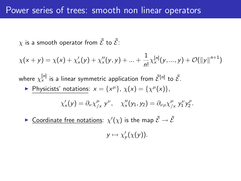$\chi$  is a smooth operator from  $\tilde{\mathcal{E}}$  to  $\tilde{\mathcal{E}}$ :

$$
\chi(x + y) = \chi(x) + \chi'_x(y) + \chi''_x(y, y) + \ldots + \frac{1}{n!} \chi_x^{[n]}(y, \ldots, y) + \mathcal{O}(\|y\|^{n+1})
$$

where  $\chi_{\mathsf{x}}^{[\mathsf{n}]}$  is a linear symmetric application from  $\tilde{\mathcal{E}}^{[\mathsf{n}]}$  to  $\tilde{\mathcal{E}}$ .

Physicists' notations:  $x = \{x^{\mu}\}, \chi(x) = \{\chi^{\mu}(x)\},\$ 

$$
\chi'_x(y) = \partial_\nu \chi_{/x}^\mu y^\nu, \quad \chi''_x(y_1, y_2) = \partial_{\nu\rho} \chi_{/x}^\mu y_1^\nu y_2^\rho.
$$

 $\blacktriangleright$  Coordinate free notations:  $\chi'(\chi)$  is the map  $\tilde{\mathcal{E}} \to \tilde{\mathcal{E}}$ 

 $y \mapsto \chi'_y(\chi(y)).$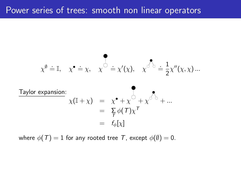$$
\chi^{\emptyset} = \mathbb{I}, \quad \chi^{\bullet} = \chi, \quad \chi^{\circ} = \chi'(\chi), \quad \chi^{\circ} \stackrel{\bullet}{\circ} = \frac{1}{2} \chi''(\chi, \chi) \dots
$$

Taylor expansion:  
\n
$$
\chi(\mathbb{I} + \chi) = \chi^{\bullet} + \chi^{\circ} + \chi^{\circ} + \chi^{\circ} + ...
$$
\n
$$
= \sum_{\tau} \phi(\tau) \chi^{\tau}
$$
\n
$$
= f_{\phi}[\chi]
$$

where  $\phi(T) = 1$  for any rooted tree T, except  $\phi(\emptyset) = 0$ .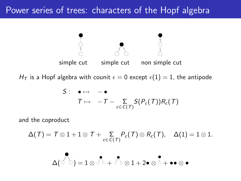## Power series of trees: characters of the Hopf algebra



$$
S: \bullet \mapsto -\bullet
$$
  

$$
T \mapsto -T - \sum_{c \in C(T)} S(P_c(T))R_c(T)
$$

and the coproduct

$$
\Delta(\mathcal{T}) = \mathcal{T} \otimes 1 + 1 \otimes \mathcal{T} + \sum_{c \in C(\mathcal{T})} P_c(\mathcal{T}) \otimes R_c(\mathcal{T}), \quad \Delta(1) = 1 \otimes 1.
$$

$$
\Delta(\text{C}^{\bullet})=1\otimes\text{C}^{\bullet}+\text{C}^{\bullet}\otimes 1+2\bullet\otimes\text{C}^{\bullet}+\bullet\bullet\otimes\bullet
$$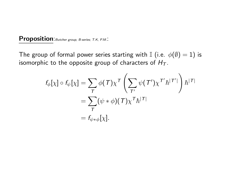#### Proposition: Butcher group, B-series; T.K, P.M.:

The group of formal power series starting with I (i.e.  $\phi(\emptyset) = 1$ ) is isomorphic to the opposite group of characters of  $H_T$ .

$$
f_{\phi}[\chi] \circ f_{\psi}[\chi] = \sum_{T} \phi(T) \chi^{T} \left( \sum_{T'} \psi(T') \chi^{T'} \hbar^{T'} \right) \hbar^{T}
$$

$$
= \sum_{T} (\psi * \phi)(T) \chi^{T} \hbar^{T}
$$

$$
= f_{\psi * \phi}[\chi].
$$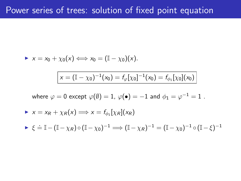$$
\mathbf{v} \times \mathbf{v} = x_0 + \chi_0(\mathbf{x}) \Longleftrightarrow x_0 = (\mathbb{I} - \chi_0)(\mathbf{x}).
$$
\n
$$
\boxed{\mathbf{x} = (\mathbb{I} - \chi_0)^{-1}(\mathbf{x}_0) = f_\varphi[\chi_0]^{-1}(\mathbf{x}_0) = f_{\phi_1}[\chi_0](\mathbf{x}_0)}
$$
\nwhere  $\varphi = 0$  except  $\varphi(\emptyset) = 1$ ,  $\varphi(\bullet) = -1$  and  $\phi_1 = \varphi^{-1} = 1$ .  
\n
$$
\mathbf{v} \times \mathbf{x} = x_R + \chi_R(\mathbf{x}) \Longrightarrow \mathbf{x} = f_{\phi_1}[\chi_R](x_R)
$$
\n
$$
\mathbf{v} \in \mathbb{I} - (\mathbb{I} - \chi_R) \circ (\mathbb{I} - \chi_0)^{-1} \Longrightarrow (\mathbb{I} - \chi_R)^{-1} = (\mathbb{I} - \chi_0)^{-1} \circ (\mathbb{I} - \xi)^{-1}
$$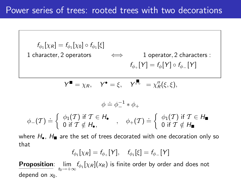$f_{\phi_1}[\chi_R] = f_{\phi_1}[\chi_0] \circ f_{\phi_1}[\xi]$ 1 character, 2 operators  $\iff$  1 operator, 2 characters :  $f_{\phi_+}[Y] = f_{\phi}[Y] \circ f_{\phi_-}[Y]$  $Y^{\blacksquare} = \chi_R, \quad Y^{\blacksquare} = \xi, \quad Y^{\overline{\phi}} = \chi''_R(\xi, \xi),$  $\phi \doteq \phi^{-1} \ast \phi_+$  $\phi_-(\mathcal{T}) \doteq \left\{ \begin{array}{l} \phi_1(\mathcal{T}) \text{ if } \mathcal{T} \in H_{\bullet} \\ 0 \text{ if } \mathcal{T} \notin H_{\bullet} \end{array} \right.$  $\phi_1(T)$  if  $\mathcal{T} \in H_\bullet$ <br>0 if  $\mathcal{T} \notin H_\bullet$ ,  $\phi_+(\mathcal{T}) \doteq \left\{ \begin{array}{l} \phi_1(\mathcal{T}) \text{ if } \mathcal{T} \in H_\blacksquare \ 0 \text{ if } \mathcal{T} \notin H_\blacksquare \end{array} \right.$ 0 if  $\mathcal{T}\notin H_\blacksquare$ 

where  $H_{\bullet}$ ,  $H_{\blacksquare}$  are the set of trees decorated with one decoration only so that

$$
f_{\phi_1}[\chi_R] = f_{\phi_+}[Y], \quad f_{\phi_1}[\xi] = f_{\phi_-}[Y]
$$

**Proposition**:  $\lim_{t_0 \to +\infty} f_{\phi_1}[\chi_R](x_R)$  is finite order by order and does not depend on  $x_0$ .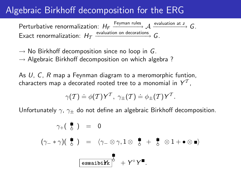## Algebraic Birkhoff decomposition for the ERG

Perturbative renormalization:  $H_F \xrightarrow{Feyman rules} \mathcal{A} \xrightarrow{evaluation at z} G$ . Exact renormalization:  $H_T \xrightarrow{\text{evaluation on decorations}} G$ .

 $\rightarrow$  No Birkhoff decomposition since no loop in G.  $\rightarrow$  Algebraic Birkhoff decomposition on which algebra?

As U, C, R map a Feynman diagram to a meromorphic funtion, characters map a decorated rooted tree to a monomial in  $\mathsf{Y}^\mathcal{T},$ 

$$
\gamma(\mathcal{T}) \doteq \phi(\mathcal{T}) \mathsf{Y}^{\mathcal{T}}, \ \gamma_{\pm}(\mathcal{T}) \doteq \phi_{\pm}(\mathcal{T}) \mathsf{Y}^{\mathcal{T}}.
$$

Unfortunately  $\gamma$ ,  $\gamma_{\pm}$  do not define an algebraic Birkhoff decomposition.

$$
\gamma_{+}(\begin{array}{c}\n\bullet \\
\bullet \\
\end{array}) = 0
$$
\n
$$
(\gamma_{-} * \gamma)(\begin{array}{c}\n\bullet \\
\bullet \\
\end{array}) = \langle \gamma_{-} \otimes \gamma, 1 \otimes \begin{array}{c}\n\bullet \\
\bullet \\
\end{array} + \begin{array}{c}\n\bullet \\
\bullet \\
\end{array} \otimes 1 + \bullet \otimes \bullet)
$$
\n
$$
\begin{array}{c}\n\bullet \\
\bullet \\
\hline\n\end{array}
$$
\n
$$
\begin{array}{c}\n\bullet \\
\bullet \\
\hline\n\end{array}
$$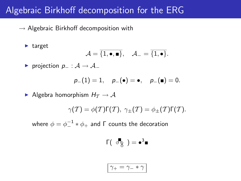### Algebraic Birkhoff decomposition for the ERG

 $\rightarrow$  Algebraic Birkhoff decomposition with

 $\blacktriangleright$  target

$$
\mathcal{A} = \overline{\{1, \bullet, \blacksquare\}}, \quad \mathcal{A}_{-} = \overline{\{1, \bullet\}}.
$$

 $\triangleright$  projection  $p_$  :  $\mathcal{A} \rightarrow \mathcal{A}$ 

$$
p_-(1) = 1
$$
,  $p_-(\bullet) = \bullet$ ,  $p_-(\bullet) = 0$ .

Algebra homorphism  $H_T \to A$ 

$$
\gamma(\mathcal{T}) = \phi(\mathcal{T})\Gamma(\mathcal{T}), \ \gamma_{\pm}(\mathcal{T}) = \phi_{\pm}(\mathcal{T})\Gamma(\mathcal{T}).
$$

where  $\phi=\phi_-^{-1}*\phi_+$  and  $\mathsf \Gamma$  counts the decoration

$$
\Gamma(\begin{array}{c} \sigma_{\mathcal{B}}^{\bullet} \end{array}) = \bullet^3 \blacksquare
$$

$$
\boxed{\gamma_+ = \gamma_- * \gamma}
$$